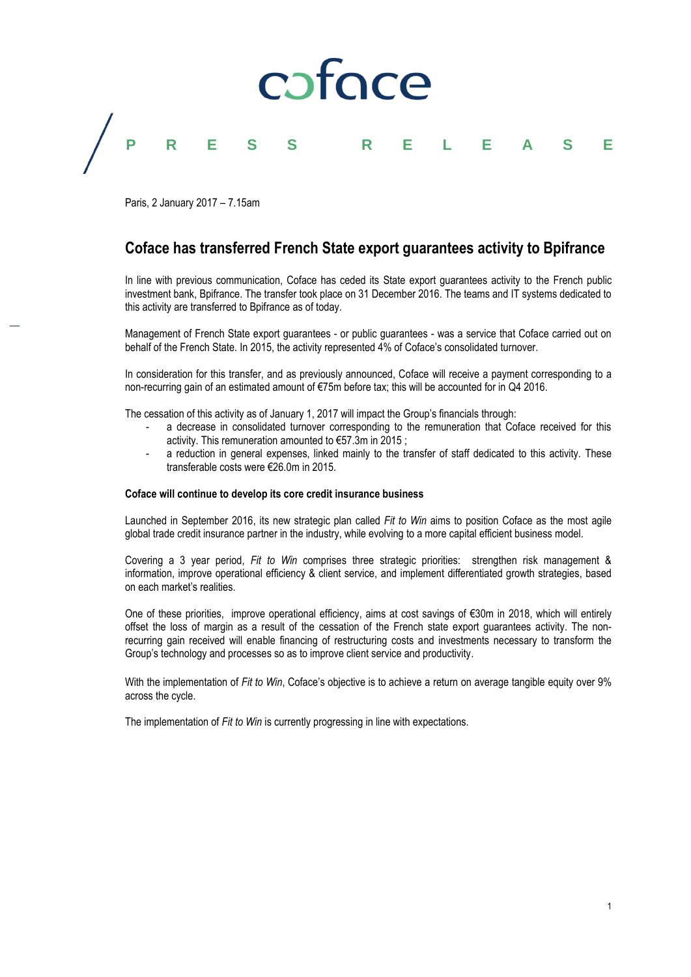

Paris, 2 January 2017 – 7.15am

# **Coface has transferred French State export guarantees activity to Bpifrance**

In line with previous communication, Coface has ceded its State export guarantees activity to the French public investment bank, Bpifrance. The transfer took place on 31 December 2016. The teams and IT systems dedicated to this activity are transferred to Bpifrance as of today.

Management of French State export guarantees - or public guarantees - was a service that Coface carried out on behalf of the French State. In 2015, the activity represented 4% of Coface's consolidated turnover.

In consideration for this transfer, and as previously announced, Coface will receive a payment corresponding to a non-recurring gain of an estimated amount of €75m before tax; this will be accounted for in Q4 2016.

The cessation of this activity as of January 1, 2017 will impact the Group's financials through:

- a decrease in consolidated turnover corresponding to the remuneration that Coface received for this activity. This remuneration amounted to €57.3m in 2015 ;
- a reduction in general expenses, linked mainly to the transfer of staff dedicated to this activity. These transferable costs were €26.0m in 2015.

## **Coface will continue to develop its core credit insurance business**

Launched in September 2016, its new strategic plan called *Fit to Win* aims to position Coface as the most agile global trade credit insurance partner in the industry, while evolving to a more capital efficient business model.

Covering a 3 year period, *Fit to Win* comprises three strategic priorities: strengthen risk management & information, improve operational efficiency & client service, and implement differentiated growth strategies, based on each market's realities.

One of these priorities, improve operational efficiency, aims at cost savings of €30m in 2018, which will entirely offset the loss of margin as a result of the cessation of the French state export guarantees activity. The nonrecurring gain received will enable financing of restructuring costs and investments necessary to transform the Group's technology and processes so as to improve client service and productivity.

With the implementation of *Fit to Win*, Coface's objective is to achieve a return on average tangible equity over 9% across the cycle.

The implementation of *Fit to Win* is currently progressing in line with expectations.